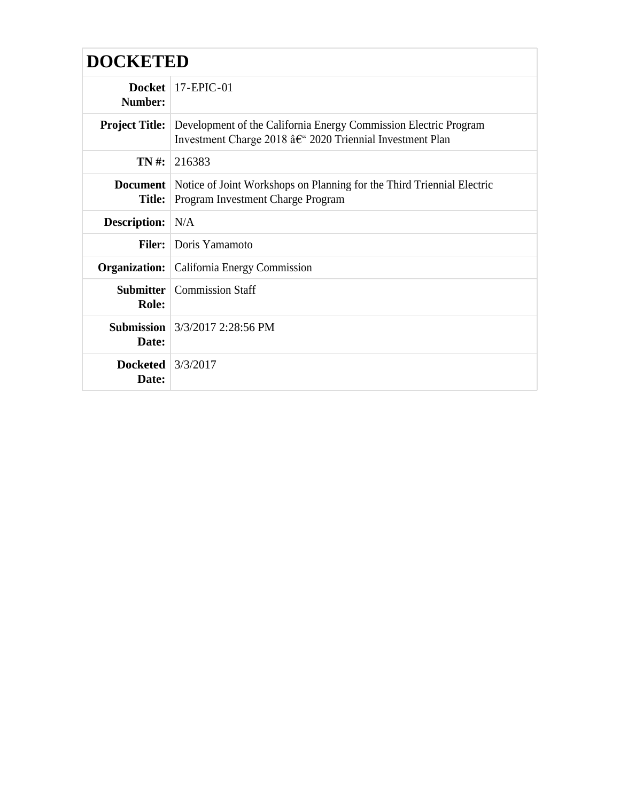| <b>DOCKETED</b>                   |                                                                                                                            |  |  |
|-----------------------------------|----------------------------------------------------------------------------------------------------------------------------|--|--|
| Number:                           | Docket   $17$ -EPIC-01                                                                                                     |  |  |
| <b>Project Title:</b>             | Development of the California Energy Commission Electric Program<br>Investment Charge 2018 †2020 Triennial Investment Plan |  |  |
| TN#:                              | 216383                                                                                                                     |  |  |
| <b>Document</b><br><b>Title:</b>  | Notice of Joint Workshops on Planning for the Third Triennial Electric<br>Program Investment Charge Program                |  |  |
| <b>Description:</b>               | N/A                                                                                                                        |  |  |
| <b>Filer:</b>                     | Doris Yamamoto                                                                                                             |  |  |
| Organization:                     | California Energy Commission                                                                                               |  |  |
| Role:                             | <b>Submitter</b>   Commission Staff                                                                                        |  |  |
| Date:                             | <b>Submission</b> $3/3/2017$ 2:28:56 PM                                                                                    |  |  |
| <b>Docketed</b> 3/3/2017<br>Date: |                                                                                                                            |  |  |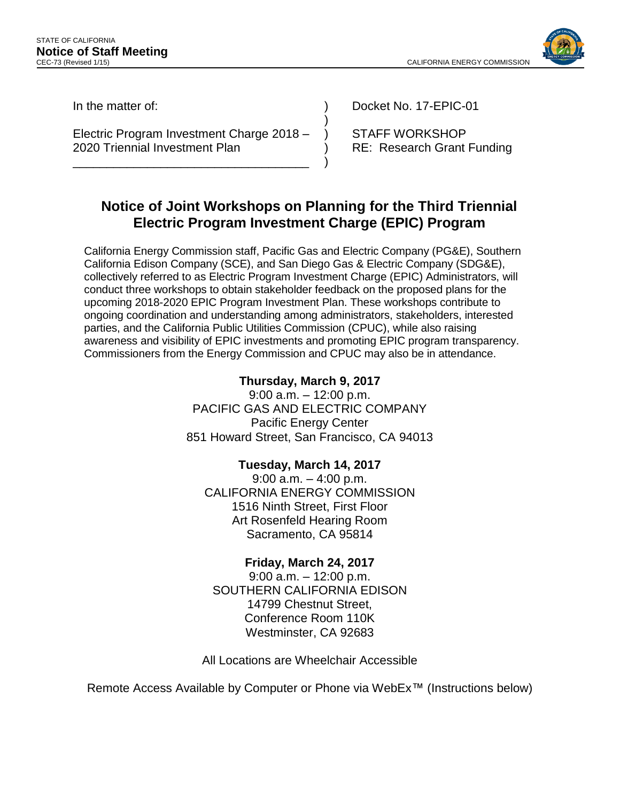

In the matter of:

Electric Program Investment Charge 2018 – 2020 Triennial Investment Plan

\_\_\_\_\_\_\_\_\_\_\_\_\_\_\_\_\_\_\_\_\_\_\_\_\_\_\_\_\_\_\_\_\_\_\_

Docket No. 17-EPIC-01

STAFF WORKSHOP RE: Research Grant Funding

# **Notice of Joint Workshops on Planning for the Third Triennial Electric Program Investment Charge (EPIC) Program**

) ) ) ) )

California Energy Commission staff, Pacific Gas and Electric Company (PG&E), Southern California Edison Company (SCE), and San Diego Gas & Electric Company (SDG&E), collectively referred to as Electric Program Investment Charge (EPIC) Administrators, will conduct three workshops to obtain stakeholder feedback on the proposed plans for the upcoming 2018-2020 EPIC Program Investment Plan. These workshops contribute to ongoing coordination and understanding among administrators, stakeholders, interested parties, and the California Public Utilities Commission (CPUC), while also raising awareness and visibility of EPIC investments and promoting EPIC program transparency. Commissioners from the Energy Commission and CPUC may also be in attendance.

### **Thursday, March 9, 2017**

9:00 a.m. – 12:00 p.m. PACIFIC GAS AND ELECTRIC COMPANY Pacific Energy Center 851 Howard Street, San Francisco, CA 94013

### **Tuesday, March 14, 2017**

9:00 a.m. – 4:00 p.m. CALIFORNIA ENERGY COMMISSION 1516 Ninth Street, First Floor Art Rosenfeld Hearing Room Sacramento, CA 95814

### **Friday, March 24, 2017**

9:00 a.m. – 12:00 p.m. SOUTHERN CALIFORNIA EDISON 14799 Chestnut Street, Conference Room 110K Westminster, CA 92683

All Locations are Wheelchair Accessible

Remote Access Available by Computer or Phone via WebEx™ (Instructions below)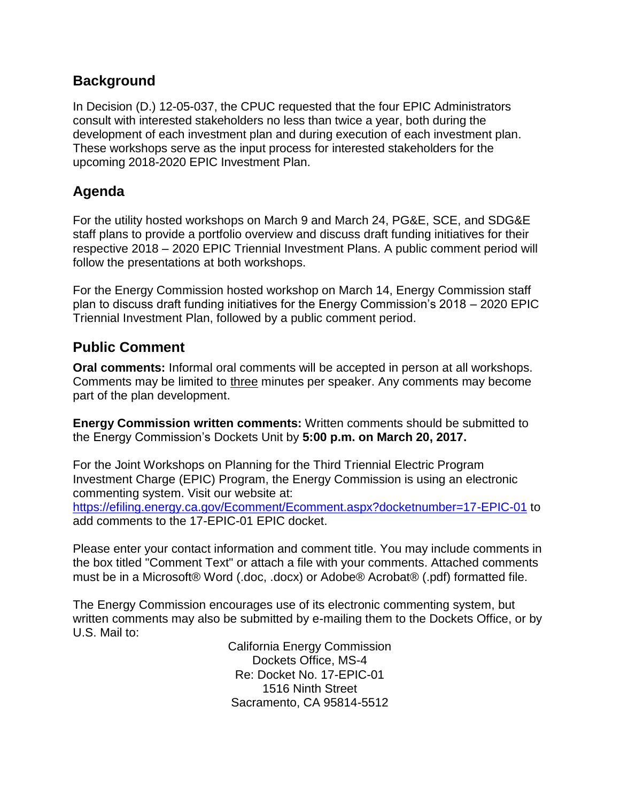## **Background**

In Decision (D.) 12-05-037, the CPUC requested that the four EPIC Administrators consult with interested stakeholders no less than twice a year, both during the development of each investment plan and during execution of each investment plan. These workshops serve as the input process for interested stakeholders for the upcoming 2018-2020 EPIC Investment Plan.

# **Agenda**

For the utility hosted workshops on March 9 and March 24, PG&E, SCE, and SDG&E staff plans to provide a portfolio overview and discuss draft funding initiatives for their respective 2018 – 2020 EPIC Triennial Investment Plans. A public comment period will follow the presentations at both workshops.

For the Energy Commission hosted workshop on March 14, Energy Commission staff plan to discuss draft funding initiatives for the Energy Commission's 2018 – 2020 EPIC Triennial Investment Plan, followed by a public comment period.

# **Public Comment**

**Oral comments:** Informal oral comments will be accepted in person at all workshops. Comments may be limited to three minutes per speaker. Any comments may become part of the plan development.

**Energy Commission written comments:** Written comments should be submitted to the Energy Commission's Dockets Unit by **5:00 p.m. on March 20, 2017.** 

For the Joint Workshops on Planning for the Third Triennial Electric Program Investment Charge (EPIC) Program, the Energy Commission is using an electronic commenting system. Visit our website at: <https://efiling.energy.ca.gov/Ecomment/Ecomment.aspx?docketnumber=17-EPIC-01> to add comments to the 17-EPIC-01 EPIC docket.

Please enter your contact information and comment title. You may include comments in the box titled "Comment Text" or attach a file with your comments. Attached comments must be in a Microsoft® Word (.doc, .docx) or Adobe® Acrobat® (.pdf) formatted file.

The Energy Commission encourages use of its electronic commenting system, but written comments may also be submitted by e-mailing them to the Dockets Office, or by U.S. Mail to:

California Energy Commission Dockets Office, MS-4 Re: Docket No. 17-EPIC-01 1516 Ninth Street Sacramento, CA 95814-5512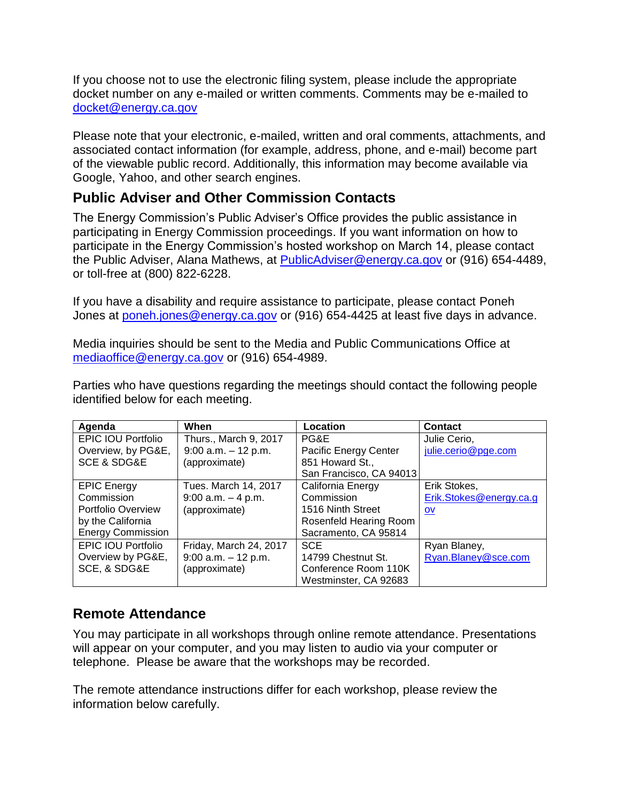If you choose not to use the electronic filing system, please include the appropriate docket number on any e-mailed or written comments. Comments may be e-mailed to [docket@energy.ca.gov](file:///C:/Users/ang/AppData/Local/Microsoft/Windows/Temporary%20Internet%20Files/Content.Outlook/AppData/Local/Microsoft/Windows/Temporary%20Internet%20Files/Content.Outlook/AppData/Local/Microsoft/Windows/Temporary%20Internet%20Files/Content.Outlook/1XRDE1U6/docket@energy.ca.gov)

Please note that your electronic, e-mailed, written and oral comments, attachments, and associated contact information (for example, address, phone, and e-mail) become part of the viewable public record. Additionally, this information may become available via Google, Yahoo, and other search engines.

## **Public Adviser and Other Commission Contacts**

The Energy Commission's Public Adviser's Office provides the public assistance in participating in Energy Commission proceedings. If you want information on how to participate in the Energy Commission's hosted workshop on March 14, please contact the Public Adviser, Alana Mathews, at [PublicAdviser@energy.ca.gov](mailto:PublicAdviser@energy.ca.gov) or (916) 654-4489, or toll-free at (800) 822-6228.

If you have a disability and require assistance to participate, please contact Poneh Jones at [poneh.jones@energy.ca.gov](mailto:poneh.jones@energy.ca.gov) or (916) 654-4425 at least five days in advance.

Media inquiries should be sent to the Media and Public Communications Office at [mediaoffice@energy.ca.gov](mailto:mediaoffice@energy.ca.gov) or (916) 654-4989.

Parties who have questions regarding the meetings should contact the following people identified below for each meeting.

| Agenda                     | When                   | Location                | <b>Contact</b>          |
|----------------------------|------------------------|-------------------------|-------------------------|
| <b>EPIC IOU Portfolio</b>  | Thurs., March 9, 2017  | PG&E                    | Julie Cerio,            |
| Overview, by PG&E,         | $9:00$ a.m. $-12$ p.m. | Pacific Energy Center   | julie.cerio@pge.com     |
| <b>SCE &amp; SDG&amp;E</b> | (approximate)          | 851 Howard St.,         |                         |
|                            |                        | San Francisco, CA 94013 |                         |
| <b>EPIC Energy</b>         | Tues. March 14, 2017   | California Energy       | Erik Stokes,            |
| Commission                 | $9:00$ a.m. $-4$ p.m.  | Commission              | Erik.Stokes@energy.ca.g |
| Portfolio Overview         | (approximate)          | 1516 Ninth Street       | <b>OV</b>               |
| by the California          |                        | Rosenfeld Hearing Room  |                         |
| <b>Energy Commission</b>   |                        | Sacramento, CA 95814    |                         |
| EPIC IOU Portfolio         | Friday, March 24, 2017 | <b>SCE</b>              | Ryan Blaney,            |
| Overview by PG&E,          | $9:00$ a.m. $-12$ p.m. | 14799 Chestnut St.      | Ryan.Blaney@sce.com     |
| SCE, & SDG&E               | (approximate)          | Conference Room 110K    |                         |
|                            |                        | Westminster, CA 92683   |                         |

# **Remote Attendance**

You may participate in all workshops through online remote attendance. Presentations will appear on your computer, and you may listen to audio via your computer or telephone. Please be aware that the workshops may be recorded.

The remote attendance instructions differ for each workshop, please review the information below carefully.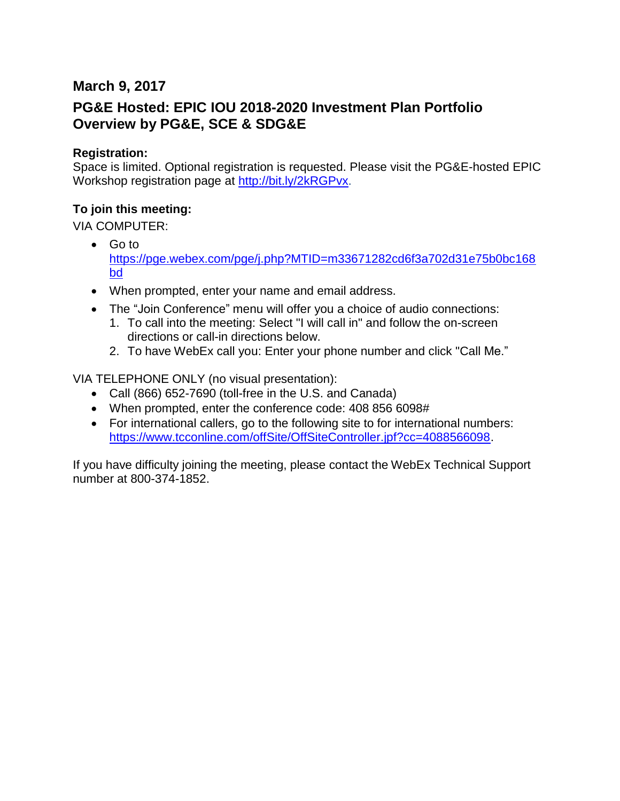### **March 9, 2017**

## **PG&E Hosted: EPIC IOU 2018-2020 Investment Plan Portfolio Overview by PG&E, SCE & SDG&E**

#### **Registration:**

Space is limited. Optional registration is requested. Please visit the PG&E-hosted EPIC Workshop registration page at [http://bit.ly/2kRGPvx.](http://bit.ly/2kRGPvx)

### **To join this meeting:**

VIA COMPUTER:

- Go to [https://pge.webex.com/pge/j.php?MTID=m33671282cd6f3a702d31e75b0bc168](https://pge.webex.com/pge/j.php?MTID=m33671282cd6f3a702d31e75b0bc168bd) [bd](https://pge.webex.com/pge/j.php?MTID=m33671282cd6f3a702d31e75b0bc168bd)
- When prompted, enter your name and email address.
- The "Join Conference" menu will offer you a choice of audio connections:
	- 1. To call into the meeting: Select "I will call in" and follow the on-screen directions or call-in directions below.
	- 2. To have WebEx call you: Enter your phone number and click "Call Me."

VIA TELEPHONE ONLY (no visual presentation):

- Call (866) 652-7690 (toll-free in the U.S. and Canada)
- When prompted, enter the conference code: 408 856 6098#
- For international callers, go to the following site to for international numbers: [https://www.tcconline.com/offSite/OffSiteController.jpf?cc=4088566098.](https://www.tcconline.com/offSite/OffSiteController.jpf?cc=4088566098)

If you have difficulty joining the meeting, please contact the WebEx Technical Support number at 800-374-1852.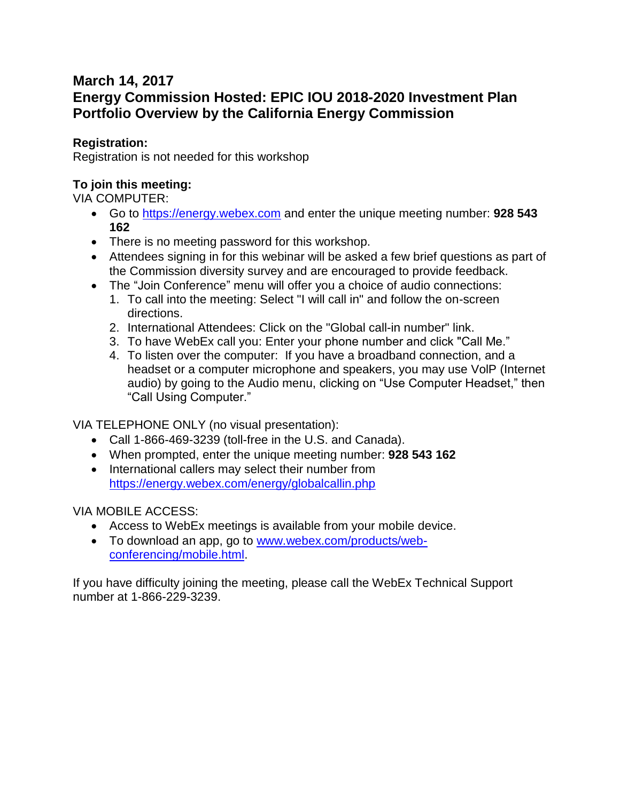# **March 14, 2017 Energy Commission Hosted: EPIC IOU 2018-2020 Investment Plan Portfolio Overview by the California Energy Commission**

### **Registration:**

Registration is not needed for this workshop

### **To join this meeting:**

VIA COMPUTER:

- Go to [https://energy.webex.com](https://energy.webex.com/) and enter the unique meeting number: **928 543 162**
- There is no meeting password for this workshop.
- Attendees signing in for this webinar will be asked a few brief questions as part of the Commission diversity survey and are encouraged to provide feedback.
- The "Join Conference" menu will offer you a choice of audio connections:
	- 1. To call into the meeting: Select "I will call in" and follow the on-screen directions.
	- 2. International Attendees: Click on the "Global call-in number" link.
	- 3. To have WebEx call you: Enter your phone number and click "Call Me."
	- 4. To listen over the computer: If you have a broadband connection, and a headset or a computer microphone and speakers, you may use VolP (Internet audio) by going to the Audio menu, clicking on "Use Computer Headset," then "Call Using Computer."

VIA TELEPHONE ONLY (no visual presentation):

- Call 1-866-469-3239 (toll-free in the U.S. and Canada).
- When prompted, enter the unique meeting number: **928 543 162**
- International callers may select their number from <https://energy.webex.com/energy/globalcallin.php>

### VIA MOBILE ACCESS:

- Access to WebEx meetings is available from your mobile device.
- To download an app, go to [www.webex.com/products/web](http://www.webex.com/products/web-conferencing/mobile.html)[conferencing/mobile.html.](http://www.webex.com/products/web-conferencing/mobile.html)

If you have difficulty joining the meeting, please call the WebEx Technical Support number at 1-866-229-3239.